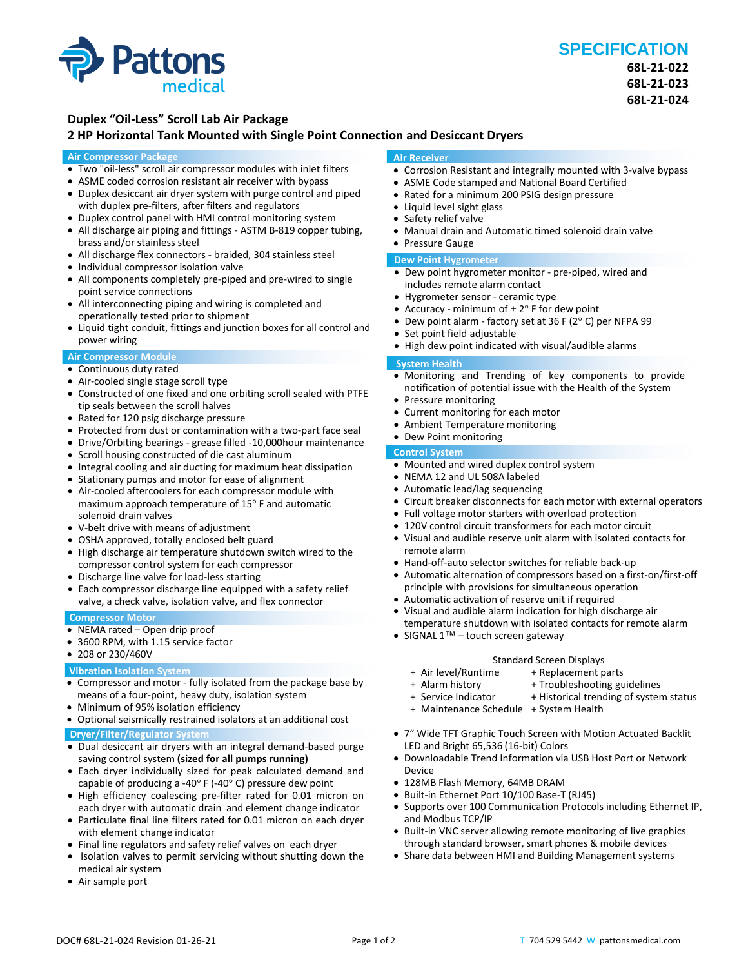

# **SPECIFICATION**

**68L‐21‐022 68L‐21‐023 68L‐21‐024**

#### **Duplex "Oil‐Less" Scroll Lab Air Package**

#### **2 HP Horizontal Tank Mounted with Single Point Connection and Desiccant Dryers**

#### **Air Compressor Package**

- Two "oil-less" scroll air compressor modules with inlet filters
- ASME coded corrosion resistant air receiver with bypass
- Duplex desiccant air dryer system with purge control and piped with duplex pre-filters, after filters and regulators
- Duplex control panel with HMI control monitoring system
- All discharge air piping and fittings ‐ ASTM B‐819 copper tubing, brass and/or stainless steel
- All discharge flex connectors ‐ braided, 304 stainless steel
- Individual compressor isolation valve
- All components completely pre-piped and pre-wired to single point service connections
- All interconnecting piping and wiring is completed and operationally tested prior to shipment
- Liquid tight conduit, fittings and junction boxes for all control and power wiring

#### **Air Compressor Module**

- Continuous duty rated
- Air-cooled single stage scroll type
- Constructed of one fixed and one orbiting scroll sealed with PTFE tip seals between the scroll halves
- Rated for 120 psig discharge pressure
- Protected from dust or contamination with a two-part face seal
- Drive/Orbiting bearings ‐ grease filled ‐10,000hour maintenance
- Scroll housing constructed of die cast aluminum
- Integral cooling and air ducting for maximum heat dissipation
- Stationary pumps and motor for ease of alignment
- Air-cooled aftercoolers for each compressor module with maximum approach temperature of 15° F and automatic solenoid drain valves
- V‐belt drive with means of adjustment
- OSHA approved, totally enclosed belt guard
- High discharge air temperature shutdown switch wired to the compressor control system for each compressor
- Discharge line valve for load-less starting
- Each compressor discharge line equipped with a safety relief valve, a check valve, isolation valve, and flex connector

#### **Compressor Motor**

- NEMA rated Open drip proof
- 3600 RPM, with 1.15 service factor
- 208 or 230/460V

#### **Vibration Isolation System**

- Compressor and motor ‐ fully isolated from the package base by means of a four‐point, heavy duty, isolation system
- Minimum of 95% isolation efficiency
- Optional seismically restrained isolators at an additional cost **Dryer/Filter/Regulator System**
- Dual desiccant air dryers with an integral demand-based purge saving control system **(sized for all pumps running)**
- Each dryer individually sized for peak calculated demand and capable of producing a -40 $\degree$  F (-40 $\degree$  C) pressure dew point
- High efficiency coalescing pre-filter rated for 0.01 micron on each dryer with automatic drain and element change indicator
- Particulate final line filters rated for 0.01 micron on each dryer with element change indicator
- Final line regulators and safety relief valves on each dryer
- Isolation valves to permit servicing without shutting down the medical air system
- Air sample port

#### **Air Receiver**

- Corrosion Resistant and integrally mounted with 3-valve bypass
- ASME Code stamped and National Board Certified
- Rated for a minimum 200 PSIG design pressure
- Liquid level sight glass
- Safety relief valve
- Manual drain and Automatic timed solenoid drain valve
- Pressure Gauge

#### **Dew Point Hygrometer**

- Dew point hygrometer monitor pre-piped, wired and includes remote alarm contact
- Hygrometer sensor ‐ ceramic type
- Accuracy minimum of  $\pm 2^{\circ}$  F for dew point
- Dew point alarm ‐ factory set at 36 F (2° C) per NFPA 99
- Set point field adjustable
- High dew point indicated with visual/audible alarms

#### **System Health**

- Monitoring and Trending of key components to provide notification of potential issue with the Health of the System
- Pressure monitoring
- Current monitoring for each motor
- Ambient Temperature monitoring
- Dew Point monitoring

### **Control System**

- Mounted and wired duplex control system
- NEMA 12 and UL 508A labeled
- Automatic lead/lag sequencing
- Circuit breaker disconnects for each motor with external operators
- Full voltage motor starters with overload protection
- 120V control circuit transformers for each motor circuit
- Visual and audible reserve unit alarm with isolated contacts for remote alarm
- Hand-off-auto selector switches for reliable back-up
- Automatic alternation of compressors based on a first-on/first-off principle with provisions for simultaneous operation
- Automatic activation of reserve unit if required
- Visual and audible alarm indication for high discharge air temperature shutdown with isolated contacts for remote alarm
- SIGNAL 1<sup>™</sup> touch screen gateway

- Standard Screen Displays<br>Air level/Runtime + Replacement p + + Air level/Runtime + Replacement parts
	-
- + Troubleshooting guidelines
	-
- + Maintenance Schedule + System Health
- 7" Wide TFT Graphic Touch Screen with Motion Actuated Backlit LED and Bright 65,536 (16‐bit) Colors
- Downloadable Trend Information via USB Host Port or Network Device
- 128MB Flash Memory, 64MB DRAM
- Built-in Ethernet Port 10/100 Base-T (RJ45)
- Supports over 100 Communication Protocols including Ethernet IP, and Modbus TCP/IP
- Built-in VNC server allowing remote monitoring of live graphics through standard browser, smart phones & mobile devices
- Share data between HMI and Building Management systems
- 
- + Service Indicator + Historical trending of system status
	-